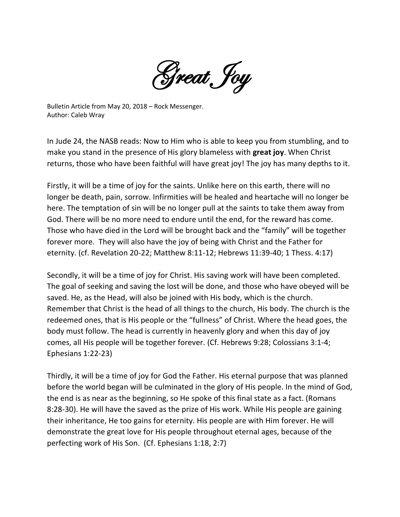Great Joy

Bulletin Article from May 20, 2018 – Rock Messenger. Author: Caleb Wray

In Jude 24, the NASB reads: Now to Him who is able to keep you from stumbling, and to make you stand in the presence of His glory blameless with **great joy**. When Christ returns, those who have been faithful will have great joy! The joy has many depths to it.

Firstly, it will be a time of joy for the saints. Unlike here on this earth, there will no longer be death, pain, sorrow. Infirmities will be healed and heartache will no longer be here. The temptation of sin will be no longer pull at the saints to take them away from God. There will be no more need to endure until the end, for the reward has come. Those who have died in the Lord will be brought back and the "family" will be together forever more. They will also have the joy of being with Christ and the Father for eternity. (cf. Revelation 20-22; Matthew 8:11-12; Hebrews 11:39-40; 1 Thess. 4:17)

Secondly, it will be a time of joy for Christ. His saving work will have been completed. The goal of seeking and saving the lost will be done, and those who have obeyed will be saved. He, as the Head, will also be joined with His body, which is the church. Remember that Christ is the head of all things to the church, His body. The church is the redeemed ones, that is His people or the "fullness" of Christ. Where the head goes, the body must follow. The head is currently in heavenly glory and when this day of joy comes, all His people will be together forever. (Cf. Hebrews 9:28; Colossians 3:1-4; Ephesians 1:22-23)

Thirdly, it will be a time of joy for God the Father. His eternal purpose that was planned before the world began will be culminated in the glory of His people. In the mind of God, the end is as near as the beginning, so He spoke of this final state as a fact. (Romans 8:28-30). He will have the saved as the prize of His work. While His people are gaining their inheritance, He too gains for eternity. His people are with Him forever. He will demonstrate the great love for His people throughout eternal ages, because of the perfecting work of His Son. (Cf. Ephesians 1:18, 2:7)